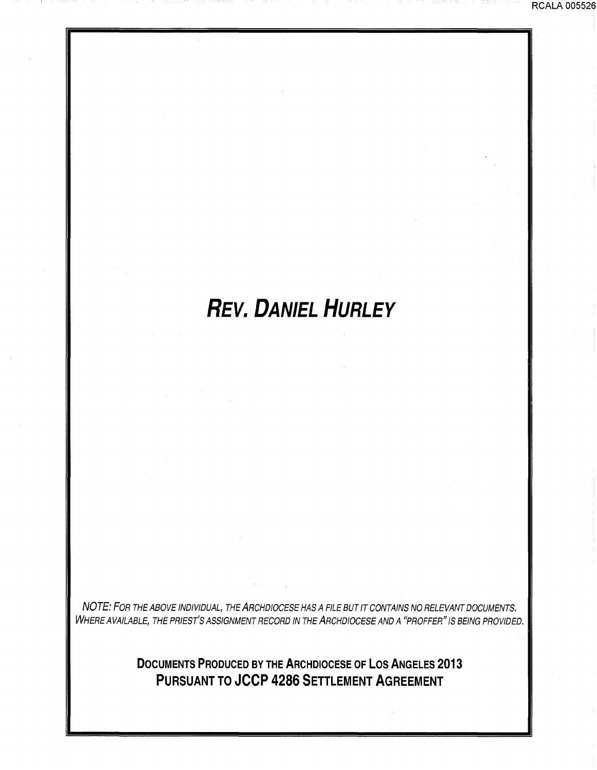## **REV. DANIEL HURLEY**

NOTE: FOR THE ABOVE INDIVIDUAL, THE ARCHDIOCESE HAS A FILE BUT IT CONTAINS NO RELEVANT DOCUMENTS. WHERE AVAILABLE, THE PRIEST'S ASSIGNMENT RECORD IN THE  $\it{ARC}$ HOCESE AND A "PROFFER" IS BEING PROVIDED.

> **DOCUMENTS PRODUCED BY THE ARCHDIOCESE OF LOS ANGELES 2013 PURSUANT TO JCCP 4286 SETTLEMENT AGREEMENT**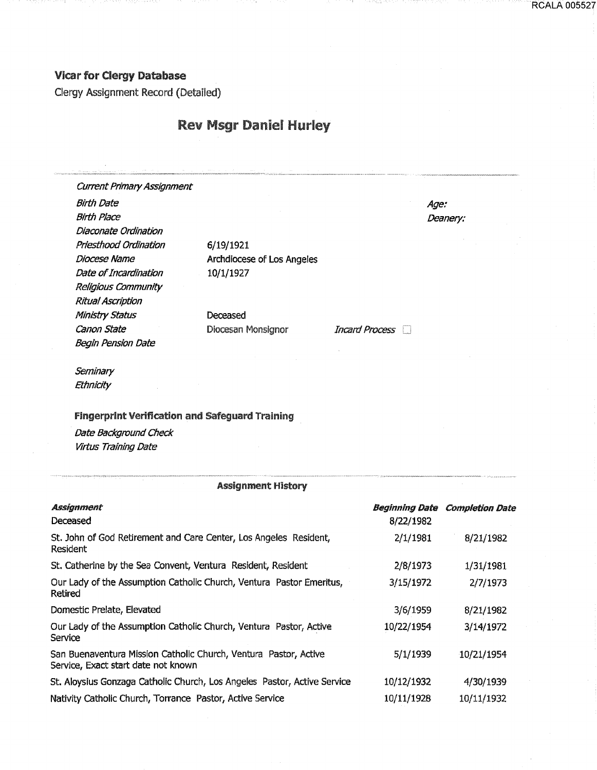## Vicar for Clergy Database

Clergy Assignment Record (Detailed)

Nativity catholic Church, Torrance Pastor, Active Service

## **Rev Msgr Daniel Hurley**

| <b>Current Primary Assignment</b>                                        |                                                                      |                |                                       |
|--------------------------------------------------------------------------|----------------------------------------------------------------------|----------------|---------------------------------------|
| <b>Birth Date</b>                                                        |                                                                      |                | Age:                                  |
| <b>Birth Place</b>                                                       |                                                                      | Deanery:       |                                       |
| Diaconate Ordination                                                     |                                                                      |                |                                       |
| Priesthood Ordination                                                    | 6/19/1921                                                            |                |                                       |
| Diocese Name                                                             | Archdiocese of Los Angeles                                           |                |                                       |
| Date of Incardination                                                    | 10/1/1927                                                            |                |                                       |
| Religious Community                                                      |                                                                      |                |                                       |
| <b>Ritual Ascription</b>                                                 |                                                                      |                |                                       |
| Ministry Status                                                          | Deceased                                                             |                |                                       |
| Canon State                                                              | Diocesan Monsignor                                                   | Incard Process |                                       |
| <b>Begin Pension Date</b>                                                |                                                                      |                |                                       |
| Seminary                                                                 |                                                                      |                |                                       |
| Ethnicity                                                                |                                                                      |                |                                       |
|                                                                          |                                                                      |                |                                       |
| <b>Fingerprint Verification and Safeguard Training</b>                   |                                                                      |                |                                       |
| Date Background Check                                                    |                                                                      |                |                                       |
| Virtus Training Date                                                     |                                                                      |                |                                       |
|                                                                          |                                                                      |                |                                       |
|                                                                          | <b>Assignment History</b>                                            |                |                                       |
|                                                                          |                                                                      |                |                                       |
| <b>Assignment</b>                                                        |                                                                      |                | <b>Beginning Date Completion Date</b> |
| Deceased                                                                 |                                                                      | 8/22/1982      |                                       |
| Resident                                                                 | St. John of God Retirement and Care Center, Los Angeles Resident,    | 2/1/1981       | 8/21/1982                             |
| St. Catherine by the Sea Convent, Ventura Resident, Resident             |                                                                      | 2/8/1973       | 1/31/1981                             |
| Retired                                                                  | Our Lady of the Assumption Catholic Church, Ventura Pastor Emeritus, | 3/15/1972      | 2/7/1973                              |
| Domestic Prelate, Elevated                                               |                                                                      | 3/6/1959       | 8/21/1982                             |
| Service                                                                  | Our Lady of the Assumption Catholic Church, Ventura Pastor, Active   | 10/22/1954     | 3/14/1972                             |
| Service, Exact start date not known                                      | San Buenaventura Mission Catholic Church, Ventura Pastor, Active     | 5/1/1939       | 10/21/1954                            |
| St. Aloysius Gonzaga Catholic Church, Los Angeles Pastor, Active Service |                                                                      | 10/12/1932     | 4/30/1939                             |

10/11/1928 10/11/1932